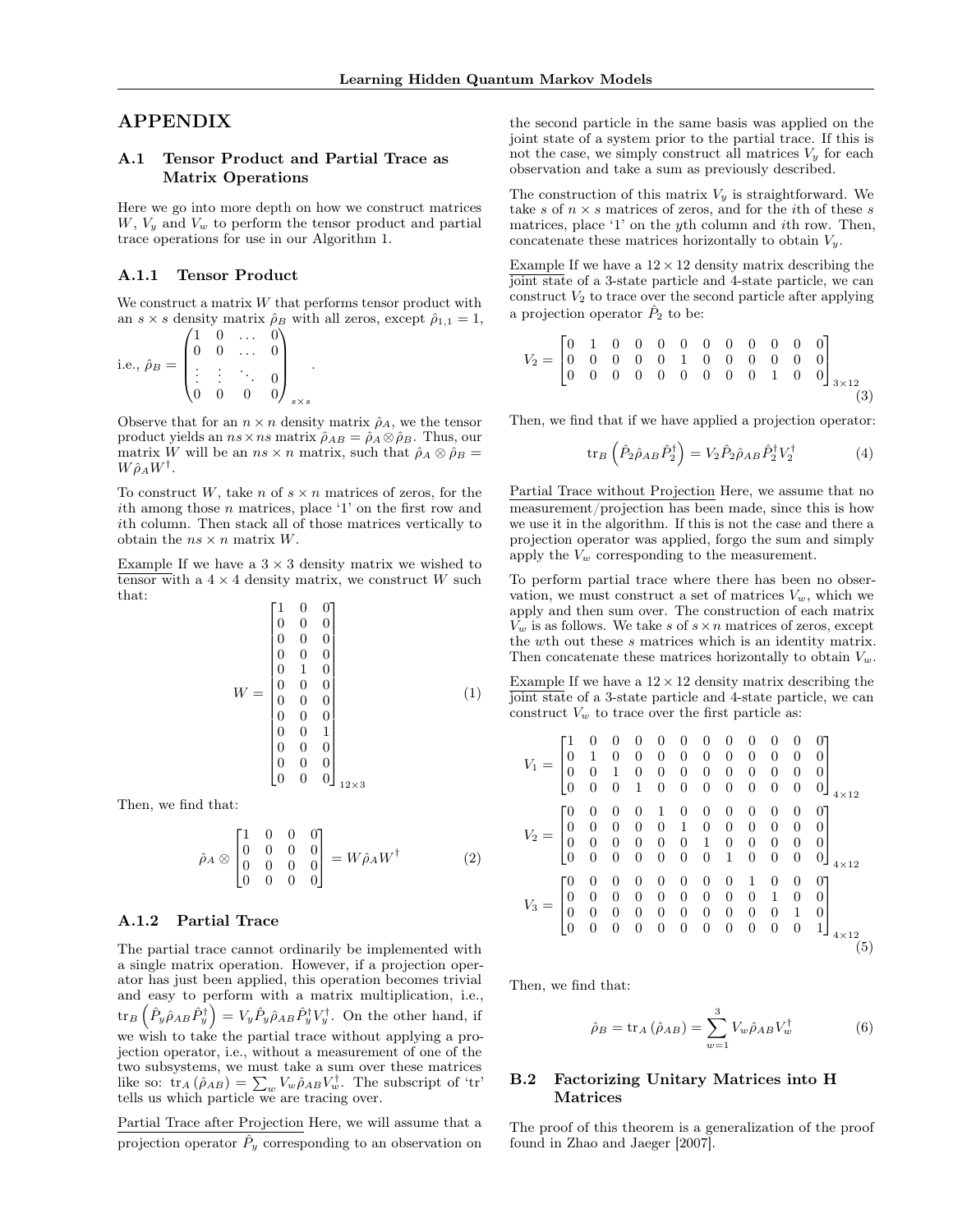# <span id="page-0-0"></span>APPENDIX

# A.1 Tensor Product and Partial Trace as Matrix Operations

Here we go into more depth on how we construct matrices *W*, *V<sup>y</sup>* and *V<sup>w</sup>* to perform the tensor product and partial trace operations for use in our Algorithm [1.](#page-0-0)

## A.1.1 Tensor Product

We construct a matrix *W* that performs tensor product with an  $s \times s$  density matrix  $\rho_B$  with all zeros, except  $\rho_{1,1} = 1$ ,

i.e., 
$$
\hat{\rho}_B = \begin{pmatrix} 1 & 0 & \dots & 0 \\ 0 & 0 & \dots & 0 \\ \vdots & \vdots & \ddots & 0 \\ 0 & 0 & 0 & 0 \end{pmatrix}_{s \times s}.
$$

<span id="page-0-2"></span>Observe that for an  $n \times n$  density matrix  $\hat{\rho}_A$ , we the tensor product yields an  $ns \times ns$  matrix  $\hat{\rho}_{AB} = \hat{\rho}_A \otimes \hat{\rho}_B$ . Thus, our matrix *W* will be an  $ns \times n$  matrix, such that  $\hat{\rho}_A \otimes \hat{\rho}_B =$  $W\hat{\rho}_A W^{\dagger}$ .

To construct W, take *n* of  $s \times n$  matrices of zeros, for the *i*th among those *n* matrices, place '1' on the first row and *i*th column. Then stack all of those matrices vertically to obtain the  $ns \times n$  matrix *W*.

Example If we have a  $3 \times 3$  density matrix we wished to tensor with a  $4 \times 4$  density matrix, we construct *W* such that:

$$
W = \begin{bmatrix} 1 & 0 & 0 \\ 0 & 0 & 0 \\ 0 & 0 & 0 \\ 0 & 0 & 0 \\ 0 & 1 & 0 \\ 0 & 0 & 0 \\ 0 & 0 & 0 \\ 0 & 0 & 0 \\ 0 & 0 & 1 \\ 0 & 0 & 0 \\ 0 & 0 & 0 \\ 0 & 0 & 0 \\ 0 & 0 & 0 \\ 0 & 0 & 0 \\ 0 & 0 & 0 \\ 0 & 0 & 0 \\ 0 & 0 & 0 \\ 0 & 0 & 0 \\ 0 & 0 & 0 \\ 0 & 0 & 0 \\ 0 & 0 & 0 \\ 0 & 0 & 0 \\ 0 & 0 & 0 \\ 0 & 0 & 0 \\ 0 & 0 & 0 \\ 0 & 0 & 0 \\ 0 & 0 & 0 \\ 0 & 0 & 0 \\ 0 & 0 & 0 \\ 0 & 0 & 0 \\ 0 & 0 & 0 \\ 0 & 0 & 0 \\ 0 & 0 & 0 \\ 0 & 0 & 0 \\ 0 & 0 & 0 \\ 0 & 0 & 0 \\ 0 & 0 & 0 \\ 0 & 0 & 0 \\ 0 & 0 & 0 \\ 0 & 0 & 0 \\ 0 & 0 & 0 \\ 0 & 0 & 0 \\ 0 & 0 & 0 \\ 0 & 0 & 0 \\ 0 & 0 & 0 \\ 0 & 0 & 0 \\ 0 & 0 & 0 \\ 0 & 0 & 0 \\ 0 & 0 & 0 \\ 0 & 0 & 0 \\ 0 & 0 & 0 \\ 0 & 0 & 0 \\ 0 & 0 & 0 \\ 0 & 0 & 0 \\ 0 & 0 & 0 \\ 0 & 0 & 0 \\ 0 & 0 & 0 \\ 0 & 0 & 0 \\ 0 & 0 & 0 \\ 0 & 0 & 0 \\ 0 & 0 & 0 \\ 0 & 0 & 0 \\ 0 & 0 & 0 \\ 0 & 0 & 0 \\ 0 & 0 & 0 \\ 0 & 0 & 0 \\ 0 & 0 & 0 \\ 0 & 0 & 0 \\ 0 & 0 & 0 \\ 0 & 0 & 0 \\ 0 & 0 & 0 \\ 0 & 0 & 0 \\ 0 & 0 & 0 \\ 0 & 0 & 0 \\ 0 & 0 & 0 \\ 0 & 0 & 0 \\ 0 & 0 & 0 \\ 0 & 0 & 0 \\ 0 & 0 & 0 \\ 0 & 0 & 0 \\ 0 & 0 & 0 \\ 0 & 0 & 0 \\ 0 & 0 & 0 \\ 0 &
$$

<span id="page-0-1"></span>Then, we find that:

$$
\hat{\rho}_A \otimes \begin{bmatrix} 1 & 0 & 0 & 0 \\ 0 & 0 & 0 & 0 \\ 0 & 0 & 0 & 0 \\ 0 & 0 & 0 & 0 \end{bmatrix} = W \hat{\rho}_A W^{\dagger}
$$
 (2)

# A.1.2 Partial Trace

The partial trace cannot ordinarily be implemented with a single matrix operation. However, if a projection operator has just been applied, this operation becomes trivial and easy to perform with a matrix multiplication, i.e.,  $\text{tr}_B\left(\hat{P}_y\hat{\rho}_{AB}\hat{P}_y^{\dagger}\right) = V_y\hat{P}_y\hat{\rho}_{AB}\hat{P}_y^{\dagger}V_y^{\dagger}$ . On the other hand, if we wish to take the partial trace without applying a projection operator, i.e., without a measurement of one of the two subsystems, we must take a sum over these matrices like so:  $\text{tr}_A(\hat{\rho}_{AB}) = \sum_w V_w \hat{\rho}_{AB} V_w^{\dagger}$ . The subscript of 'tr' tells us which particle we are tracing over.

Partial Trace after Projection Here, we will assume that a projection operator  $\ddot{P}_y$  corresponding to an observation on

the second particle in the same basis was applied on the joint state of a system prior to the partial trace. If this is not the case, we simply construct all matrices  $V_y$  for each observation and take a sum as previously described.

The construction of this matrix  $V_y$  is straightforward. We take *s* of  $n \times s$  matrices of zeros, and for the *i*th of these *s* matrices, place '1' on the *y*th column and *i*th row. Then, concatenate these matrices horizontally to obtain *Vy*.

Example If we have a  $12 \times 12$  density matrix describing the joint state of a 3-state particle and 4-state particle, we can construct  $V_2$  to trace over the second particle after applying a projection operator  $\hat{P}_2$  to be:

$$
V_2 = \begin{bmatrix} 0 & 1 & 0 & 0 & 0 & 0 & 0 & 0 & 0 & 0 & 0 & 0 \\ 0 & 0 & 0 & 0 & 0 & 1 & 0 & 0 & 0 & 0 & 0 & 0 \\ 0 & 0 & 0 & 0 & 0 & 0 & 0 & 0 & 0 & 1 & 0 & 0 \end{bmatrix}_{3 \times 12} (3)
$$

Then, we find that if we have applied a projection operator:

$$
\text{tr}_B \left( \hat{P}_2 \hat{\rho}_{AB} \hat{P}_2^{\dagger} \right) = V_2 \hat{P}_2 \hat{\rho}_{AB} \hat{P}_2^{\dagger} V_2^{\dagger} \tag{4}
$$

Partial Trace without Projection Here, we assume that no measurement/projection has been made, since this is how we use it in the algorithm. If this is not the case and there a projection operator was applied, forgo the sum and simply apply the  $V_w$  corresponding to the measurement.

To perform partial trace where there has been no observation, we must construct a set of matrices  $V_w$ , which we apply and then sum over. The construction of each matrix  $V_w$  is as follows. We take *s* of  $s \times n$  matrices of zeros, except the *w*th out these *s* matrices which is an identity matrix. Then concatenate these matrices horizontally to obtain  $V_w$ .

Example If we have a  $12 \times 12$  density matrix describing the joint state of a 3-state particle and 4-state particle, we can construct  $V_w$  to trace over the first particle as:

$$
V_1 = \begin{bmatrix} 1 & 0 & 0 & 0 & 0 & 0 & 0 & 0 & 0 & 0 & 0 & 0 \\ 0 & 1 & 0 & 0 & 0 & 0 & 0 & 0 & 0 & 0 & 0 & 0 \\ 0 & 0 & 1 & 0 & 0 & 0 & 0 & 0 & 0 & 0 & 0 & 0 \\ 0 & 0 & 0 & 1 & 0 & 0 & 0 & 0 & 0 & 0 & 0 & 0 \\ 0 & 0 & 0 & 0 & 1 & 0 & 0 & 0 & 0 & 0 & 0 & 0 \\ 0 & 0 & 0 & 0 & 0 & 1 & 0 & 0 & 0 & 0 & 0 & 0 \\ 0 & 0 & 0 & 0 & 0 & 0 & 1 & 0 & 0 & 0 & 0 & 0 \\ 0 & 0 & 0 & 0 & 0 & 0 & 0 & 1 & 0 & 0 & 0 & 0 \\ 0 & 0 & 0 & 0 & 0 & 0 & 0 & 0 & 1 & 0 & 0 & 0 \\ 0 & 0 & 0 & 0 & 0 & 0 & 0 & 0 & 0 & 0 & 1 & 0 \\ 0 & 0 & 0 & 0 & 0 & 0 & 0 & 0 & 0 & 0 & 1 & 0 \\ 0 & 0 & 0 & 0 & 0 & 0 & 0 & 0 & 0 & 0 & 1 & 0 \\ 0 & 0 & 0 & 0 & 0 & 0 & 0 & 0 & 0 & 0 & 1 & 0 \\ 0 & 0 & 0 & 0 & 0 & 0 & 0 & 0 & 0 & 0 & 1 & 0 \\ 0 & 0 & 0 & 0 & 0 & 0 & 0 & 0 & 0 & 0 & 1 & 0 \\ 0 & 0 & 0 & 0 & 0 & 0 & 0 & 0 & 0 & 0 & 1 & 0 \\ 0 & 0 & 0 & 0 & 0 & 0 & 0 & 0 & 0 & 0 & 1 & 0 \\ 0 & 0 & 0 & 0 & 0 & 0 & 0 & 0 & 0 & 0 & 1 & 0 \\ 0 & 0 & 0 & 0 & 0 & 0 & 0 & 0 & 0 & 0 & 1 & 0 \\ 0 & 0 & 0 & 0 & 0 & 0 & 0 & 0 & 0 & 0 & 1 & 0 \\ 0 & 0 & 0 & 0 & 0 & 0 & 0 & 0 & 0 & 0
$$

Then, we find that:

$$
\hat{\rho}_B = \text{tr}_A \left( \hat{\rho}_{AB} \right) = \sum_{w=1}^3 V_w \hat{\rho}_{AB} V_w^{\dagger} \tag{6}
$$

#### B.2 Factorizing Unitary Matrices into H **Matrices**

The proof of this theorem is a generalization of the proof found in [Zhao and Jaeger](#page-0-1) [\[2007\]](#page-0-1).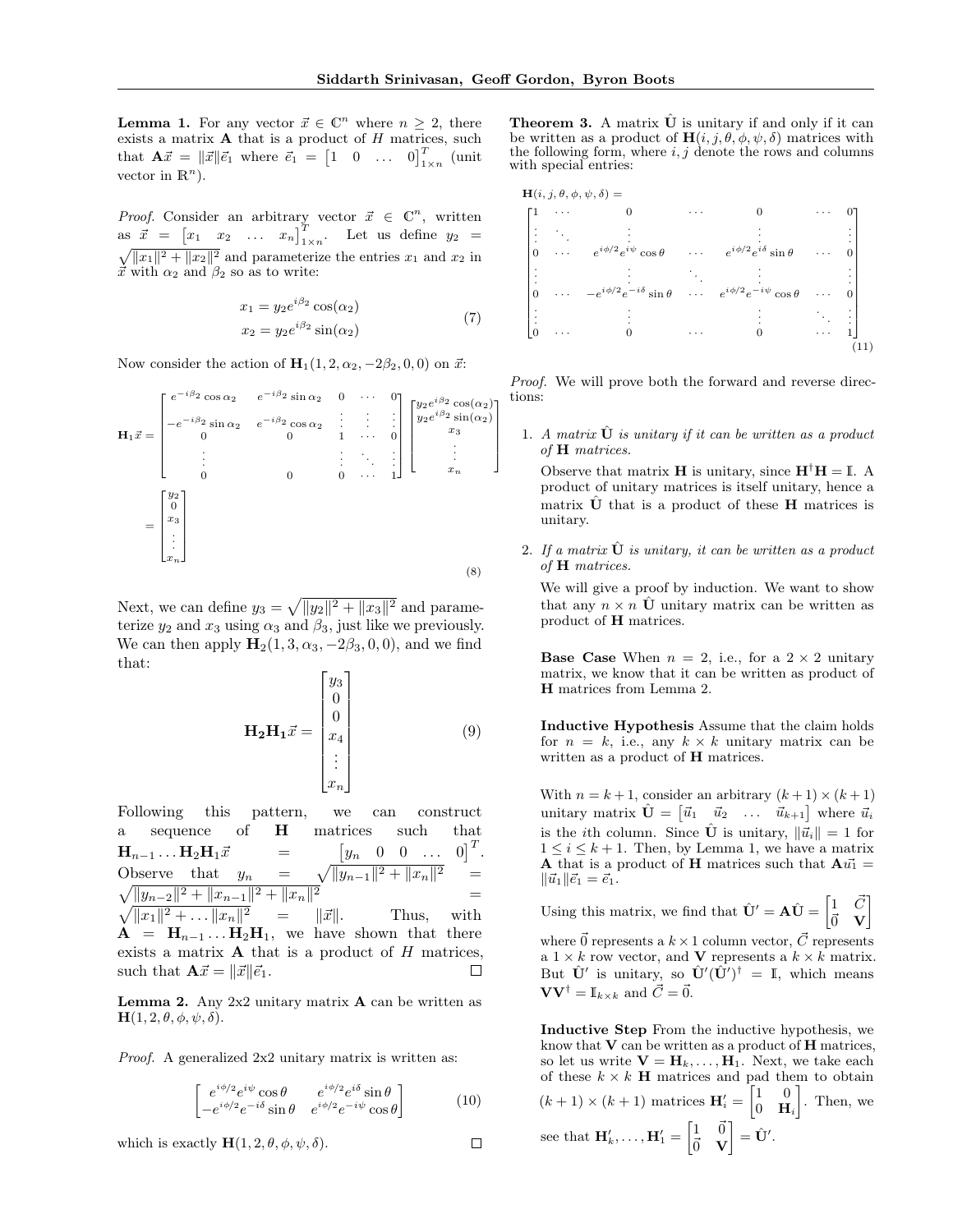**Lemma 1.** For any vector  $\vec{x} \in \mathbb{C}^n$  where  $n \geq 2$ , there exists a matrix A that is a product of *H* matrices, such that  $\mathbf{A}\vec{x} = ||\vec{x}||\vec{e_1}$  where  $\vec{e_1} = \begin{bmatrix} 1 & 0 & \dots & 0 \end{bmatrix}^T_{1 \times n}$  (unit vector in  $\mathbb{R}^n$ ).

*Proof.* Consider an arbitrary vector  $\vec{x} \in \mathbb{C}^n$ , written as  $\vec{x} = \begin{bmatrix} x_1 & x_2 & \dots & x_n \end{bmatrix}^T$  $\sqrt{\|x_1\|^2 + \|x_2\|^2}$  and parameterize the entries  $x_1$  and  $x_2$  in  $\vec{x}$  with  $\alpha_2$  and  $\beta_2$  so as to write:

$$
x_1 = y_2 e^{i\beta_2} \cos(\alpha_2)
$$
  
\n
$$
x_2 = y_2 e^{i\beta_2} \sin(\alpha_2)
$$
\n(7)

Now consider the action of  $\mathbf{H}_1(1, 2, \alpha_2, -2\beta_2, 0, 0)$  on  $\vec{x}$ :

$$
\mathbf{H}_{1}\vec{x} = \begin{bmatrix} e^{-i\beta_{2}}\cos\alpha_{2} & e^{-i\beta_{2}}\sin\alpha_{2} & 0 & \cdots & 0\\ -e^{-i\beta_{2}}\sin\alpha_{2} & e^{-i\beta_{2}}\cos\alpha_{2} & \cdots & \cdots & 0\\ 0 & 0 & 1 & \cdots & 0\\ \vdots & \vdots & \ddots & \vdots & \ddots & \vdots\\ 0 & 0 & 0 & \cdots & 1 \end{bmatrix} \begin{bmatrix} y_{2}e^{i\beta_{2}}\cos(\alpha_{2})\\ y_{2}e^{i\beta_{2}}\sin(\alpha_{2})\\ \vdots\\ x_{n} \end{bmatrix}
$$

$$
= \begin{bmatrix} y_{2} \\ 0 \\ \vdots \\ 0 \\ x_{n} \end{bmatrix}
$$
 (8)

Next, we can define  $y_3 = \sqrt{||y_2||^2 + ||x_3||^2}$  and parameterize  $y_2$  and  $x_3$  using  $\alpha_3$  and  $\beta_3$ , just like we previously. We can then apply  $\mathbf{H}_2(1, 3, \alpha_3, -2\beta_3, 0, 0)$ , and we find that:

$$
\mathbf{H}_2 \mathbf{H}_1 \vec{x} = \begin{bmatrix} y_3 \\ 0 \\ 0 \\ x_4 \\ \vdots \\ x_n \end{bmatrix}
$$
 (9)

Following this pattern, we can construct a sequence of H matrices such that  $[0]^T$ .  $\mathbf{H}_{n-1} \dots \mathbf{H}_2 \mathbf{H}_1 \vec{x} =$ <br>Observe that  $y_n =$ *y<sup>n</sup>* 0 0 *...* 0 Observe that  $y_n$  $2 =$  $\sqrt{\|y_{n-2}\|^2 + \|x_{n-1}\|^2 + \|x_n\|}$ 2  $=$  $\sqrt{\|x_1\|^2 + \dots \|x_n\|^2}$  =  $\|\vec{x}\|$ . Thus, with  $A = H_{n-1} \dots H_2 H_1$ , we have shown that there exists a matrix A that is a product of *H* matrices, such that  $\mathbf{A}\vec{x} = ||\vec{x}||\vec{e}_1$ . П

**Lemma 2.** Any  $2x2$  unitary matrix **A** can be written as  $H(1, 2, \theta, \phi, \psi, \delta).$ 

*Proof.* A generalized 2x2 unitary matrix is written as:

$$
\begin{bmatrix} e^{i\phi/2}e^{i\psi}\cos\theta & e^{i\phi/2}e^{i\delta}\sin\theta\\ -e^{i\phi/2}e^{-i\delta}\sin\theta & e^{i\phi/2}e^{-i\psi}\cos\theta \end{bmatrix}
$$
 (10)

 $\Box$ 

which is exactly  $H(1, 2, \theta, \phi, \psi, \delta)$ .

**Theorem 3.** A matrix  $\hat{\mathbf{U}}$  is unitary if and only if it can be written as a product of  $\mathbf{H}(i,j,\theta,\phi,\psi,\delta)$  matrices with the following form, where  $i, j$  denote the rows and columns with special entries:



*Proof.* We will prove both the forward and reverse directions:

1. *A matrix*  $\hat{\mathbf{U}}$  *is unitary if it can be written as a product of* H *matrices.*

Observe that matrix **H** is unitary, since  $H^{\dagger}H = I$ . A product of unitary matrices is itself unitary, hence a matrix  $\hat{\mathbf{U}}$  that is a product of these **H** matrices is unitary.

2. If a matrix **U** is unitary, it can be written as a product *of* H *matrices.*

We will give a proof by induction. We want to show that any  $n \times n$   $\hat{U}$  unitary matrix can be written as product of H matrices.

**Base Case** When  $n = 2$ , i.e., for a  $2 \times 2$  unitary matrix, we know that it can be written as product of H matrices from Lemma 2.

Inductive Hypothesis Assume that the claim holds for  $n = k$ , i.e., any  $k \times k$  unitary matrix can be written as a product of **H** matrices.

With  $n = k + 1$ , consider an arbitrary  $(k + 1) \times (k + 1)$  $i$  unitary matrix  $\hat{\mathbf{U}} = \begin{bmatrix} \vec{u}_1 & \vec{u}_2 & \dots & \vec{u}_{k+1} \end{bmatrix}$  where  $\vec{u}_i$ is the *i*th column. Since  $\hat{\mathbf{U}}$  is unitary,  $\|\vec{u}_i\| = 1$  for  $1 \leq i \leq k+1$ . Then, by Lemma 1, we have a matrix **A** that is a product of **H** matrices such that  $A u_1^* =$  $\|\vec{u}_1\| \vec{e}_1 = \vec{e}_1.$ 

Using this matrix, we find that  $\hat{\mathbf{U}}' = \mathbf{A}\hat{\mathbf{U}} = \begin{bmatrix} 1 & \vec{C} \\ \vec{\sigma} & \mathbf{V} \end{bmatrix}$  $\vec{0}$  V 1

where  $\vec{0}$  represents a  $k \times 1$  column vector,  $\vec{C}$  represents a  $1 \times k$  row vector, and **V** represents a  $k \times k$  matrix. But  $\hat{\mathbf{U}}'$  is unitary, so  $\hat{\mathbf{U}}'(\hat{\mathbf{U}}')^{\dagger} = \mathbb{I}$ , which means  $\mathbf{V}\mathbf{V}^{\dagger} = \mathbb{I}_{k \times k}$  and  $\vec{C} = \vec{0}$ .

Inductive Step From the inductive hypothesis, we know that  $V$  can be written as a product of  $H$  matrices, so let us write  $\mathbf{V} = \mathbf{H}_k, \ldots, \mathbf{H}_1$ . Next, we take each of these  $k \times k$  **H** matrices and pad them to obtain  $(k+1) \times (k+1)$  matrices  $\mathbf{H}'_i = \begin{bmatrix} 1 & 0 \\ 0 & \mathbf{H} \end{bmatrix}$ 0 H*<sup>i</sup>* . Then, we see that  $\mathbf{H}'_k, \ldots, \mathbf{H}'_1 = \begin{bmatrix} 1 & \vec{0} \\ \vec{0} & \mathbf{V} \end{bmatrix}$  $\vec{0}$  V  $\Big] = \hat{\mathbf{U}}'.$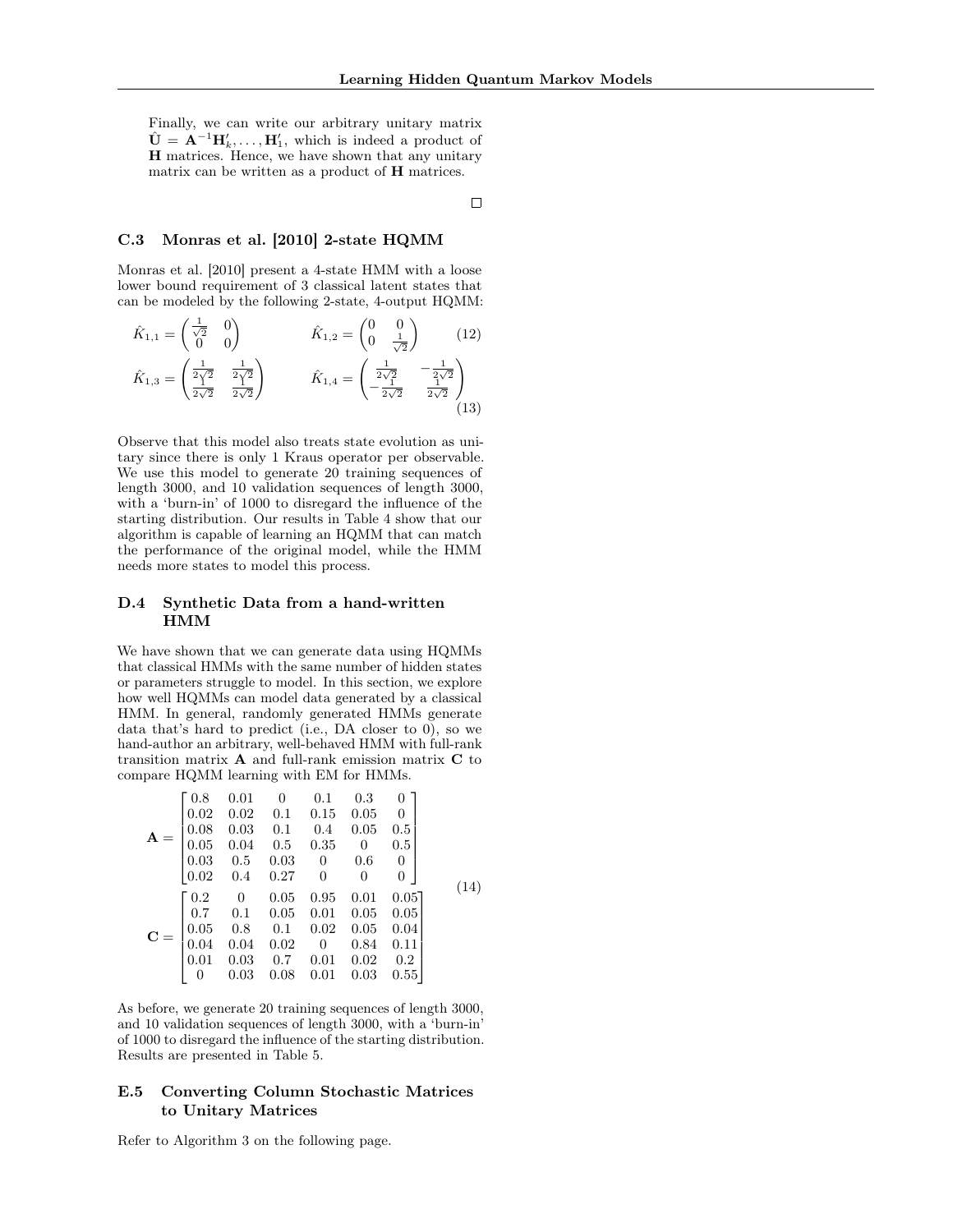Finally, we can write our arbitrary unitary matrix  $\hat{\mathbf{U}} = \mathbf{A}^{-1} \mathbf{H}'_k, \dots, \mathbf{H}'_1$ , which is indeed a product of H matrices. Hence, we have shown that any unitary matrix can be written as a product of H matrices.

 $\Box$ 

## C.3 [Monras et al.](#page-0-2) [\[2010\]](#page-0-2) 2-state HQMM

[Monras et al.](#page-0-2) [\[2010\]](#page-0-2) present a 4-state HMM with a loose lower bound requirement of 3 classical latent states that can be modeled by the following 2-state, 4-output HQMM:

$$
\hat{K}_{1,1} = \begin{pmatrix} \frac{1}{\sqrt{2}} & 0 \\ 0 & 0 \end{pmatrix} \qquad \qquad \hat{K}_{1,2} = \begin{pmatrix} 0 & 0 \\ 0 & \frac{1}{\sqrt{2}} \end{pmatrix} \qquad (12)
$$
\n
$$
\hat{K}_{1,3} = \begin{pmatrix} \frac{1}{2\sqrt{2}} & \frac{1}{2\sqrt{2}} \\ \frac{1}{2\sqrt{2}} & \frac{1}{2\sqrt{2}} \end{pmatrix} \qquad \qquad \hat{K}_{1,4} = \begin{pmatrix} \frac{1}{2\sqrt{2}} & -\frac{1}{2\sqrt{2}} \\ -\frac{1}{2\sqrt{2}} & \frac{1}{2\sqrt{2}} \end{pmatrix} \qquad (13)
$$

Observe that this model also treats state evolution as unitary since there is only 1 Kraus operator per observable. We use this model to generate 20 training sequences of length 3000, and 10 validation sequences of length 3000, with a 'burn-in' of 1000 to disregard the influence of the starting distribution. Our results in Table [4](#page-3-0) show that our algorithm is capable of learning an HQMM that can match the performance of the original model, while the HMM needs more states to model this process.

## D.4 Synthetic Data from a hand-written HMM

We have shown that we can generate data using HQMMs that classical HMMs with the same number of hidden states or parameters struggle to model. In this section, we explore how well HQMMs can model data generated by a classical HMM. In general, randomly generated HMMs generate data that's hard to predict (i.e., DA closer to 0), so we hand-author an arbitrary, well-behaved HMM with full-rank transition matrix A and full-rank emission matrix C to compare HQMM learning with EM for HMMs.

|                                   |      | $\begin{bmatrix} 0.8 & 0.01 & 0 \end{bmatrix}$ | $0.1 \ 0.3$<br>$\begin{array}{cccccc} 0.02 & 0.02 & 0.1 & 0.15 & 0.05 & 0 \end{array}$<br>$\mathbf{A} = \begin{bmatrix} 0.08 & 0.03 & 0.1 & 0.4 & 0.05 \\ 0.05 & 0.04 & 0.5 & 0.35 & 0 \\ 0.03 & 0.5 & 0.03 & 0 & 0.6 \\ 0.02 & 0.4 & 0.27 & 0 & 0 \end{bmatrix}$                | $\overline{0}$<br>0.5<br>$0.5\,$<br>$\overline{0}$<br>$\overline{0}$ | (14) |
|-----------------------------------|------|------------------------------------------------|----------------------------------------------------------------------------------------------------------------------------------------------------------------------------------------------------------------------------------------------------------------------------------|----------------------------------------------------------------------|------|
| $\begin{pmatrix} 0 \end{pmatrix}$ | 0.03 |                                                | $\mathbf{C} = \left[ \begin{matrix} 0.2 & 0 & 0.05 & 0.95 & 0.01 & 0.05\\ 0.7 & 0.1 & 0.05 & 0.01 & 0.05 & 0.05\\ 0.05 & 0.8 & 0.1 & 0.02 & 0.05 & 0.04\\ 0.04 & 0.04 & 0.02 & 0 & 0.84 & 0.11\\ 0.01 & 0.03 & 0.7 & 0.01 & 0.02 & 0.2 \end{matrix} \right]$<br>$0.08$ 0.01 0.03 | $0.05$ ]<br>0.55                                                     |      |

As before, we generate 20 training sequences of length 3000, and 10 validation sequences of length 3000, with a 'burn-in' of 1000 to disregard the influence of the starting distribution. Results are presented in Table [5.](#page-3-1)

## E.5 Converting Column Stochastic Matrices to Unitary Matrices

Refer to Algorithm [3](#page-3-2) on the following page.